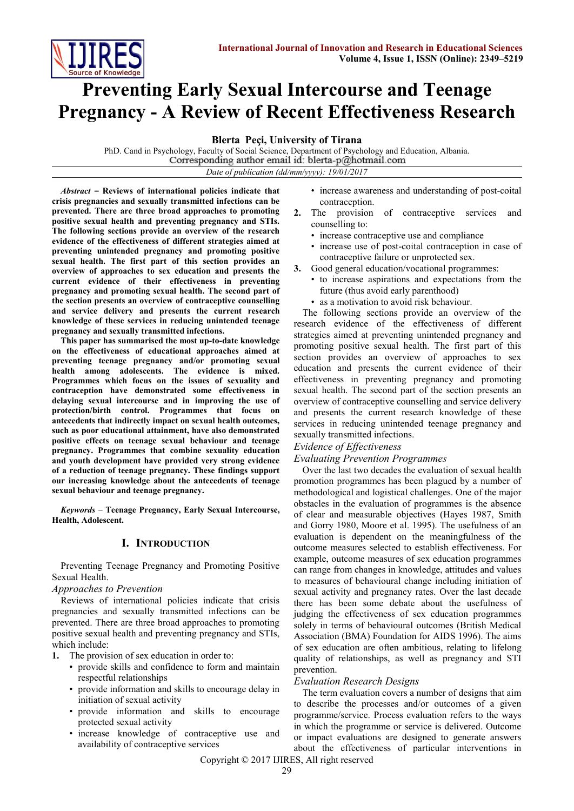

# **Preventing Early Sexual Intercourse and Teenage Pregnancy - A Review of Recent Effectiveness Research**

**Blerta Peҫi, University of Tirana**

PhD. Cand in Psychology, Faculty of Social Science, Department of Psychology and Education, Albania.<br>Corresponding author email id: blerta-p@hotmail.com *Date of publication (dd/mm/yyyy): 19/01/2017*

*Abstract* **– Reviews of international policies indicate that crisis pregnancies and sexually transmitted infections can be prevented. There are three broad approaches to promoting positive sexual health and preventing pregnancy and STIs. The following sections provide an overview of the research evidence of the effectiveness of different strategies aimed at preventing unintended pregnancy and promoting positive sexual health. The first part of this section provides an overview of approaches to sex education and presents the current evidence of their effectiveness in preventing pregnancy and promoting sexual health. The second part of the section presents an overview of contraceptive counselling and service delivery and presents the current research knowledge of these services in reducing unintended teenage pregnancy and sexually transmitted infections.**

**This paper has summarised the most up-to-date knowledge on the effectiveness of educational approaches aimed at preventing teenage pregnancy and/or promoting sexual health among adolescents. The evidence is mixed. Programmes which focus on the issues of sexuality and contraception have demonstrated some effectiveness in delaying sexual intercourse and in improving the use of protection/birth control. Programmes that focus on antecedents that indirectly impact on sexual health outcomes, such as poor educational attainment, have also demonstrated positive effects on teenage sexual behaviour and teenage pregnancy. Programmes that combine sexuality education and youth development have provided very strong evidence of a reduction of teenage pregnancy. These findings support our increasing knowledge about the antecedents of teenage sexual behaviour and teenage pregnancy.**

*Keywords* – **Teenage Pregnancy, Early Sexual Intercourse, Health, Adolescent.**

## **I. INTRODUCTION**

Preventing Teenage Pregnancy and Promoting Positive Sexual Health.

#### *Approaches to Prevention*

Reviews of international policies indicate that crisis pregnancies and sexually transmitted infections can be prevented. There are three broad approaches to promoting positive sexual health and preventing pregnancy and STIs, which include:

- **1.** The provision of sex education in order to:
	- provide skills and confidence to form and maintain respectful relationships
	- provide information and skills to encourage delay in initiation of sexual activity
	- provide information and skills to encourage protected sexual activity
	- increase knowledge of contraceptive use and availability of contraceptive services
- increase awareness and understanding of post-coital contraception.
- **2.** The provision of contraceptive services and counselling to:
	- increase contraceptive use and compliance
	- increase use of post-coital contraception in case of contraceptive failure or unprotected sex.
- **3.** Good general education/vocational programmes:
	- to increase aspirations and expectations from the future (thus avoid early parenthood)
	- as a motivation to avoid risk behaviour.

The following sections provide an overview of the research evidence of the effectiveness of different strategies aimed at preventing unintended pregnancy and promoting positive sexual health. The first part of this section provides an overview of approaches to sex education and presents the current evidence of their effectiveness in preventing pregnancy and promoting sexual health. The second part of the section presents an overview of contraceptive counselling and service delivery and presents the current research knowledge of these services in reducing unintended teenage pregnancy and sexually transmitted infections.

#### *Evidence of Effectiveness*

#### *Evaluating Prevention Programmes*

Over the last two decades the evaluation of sexual health promotion programmes has been plagued by a number of methodological and logistical challenges. One of the major obstacles in the evaluation of programmes is the absence of clear and measurable objectives (Hayes 1987, Smith and Gorry 1980, Moore et al. 1995). The usefulness of an evaluation is dependent on the meaningfulness of the outcome measures selected to establish effectiveness. For example, outcome measures of sex education programmes can range from changes in knowledge, attitudes and values to measures of behavioural change including initiation of sexual activity and pregnancy rates. Over the last decade there has been some debate about the usefulness of judging the effectiveness of sex education programmes solely in terms of behavioural outcomes (British Medical Association (BMA) Foundation for AIDS 1996). The aims of sex education are often ambitious, relating to lifelong quality of relationships, as well as pregnancy and STI prevention.

#### *Evaluation Research Designs*

The term evaluation covers a number of designs that aim to describe the processes and/or outcomes of a given programme/service. Process evaluation refers to the ways in which the programme or service is delivered. Outcome or impact evaluations are designed to generate answers about the effectiveness of particular interventions in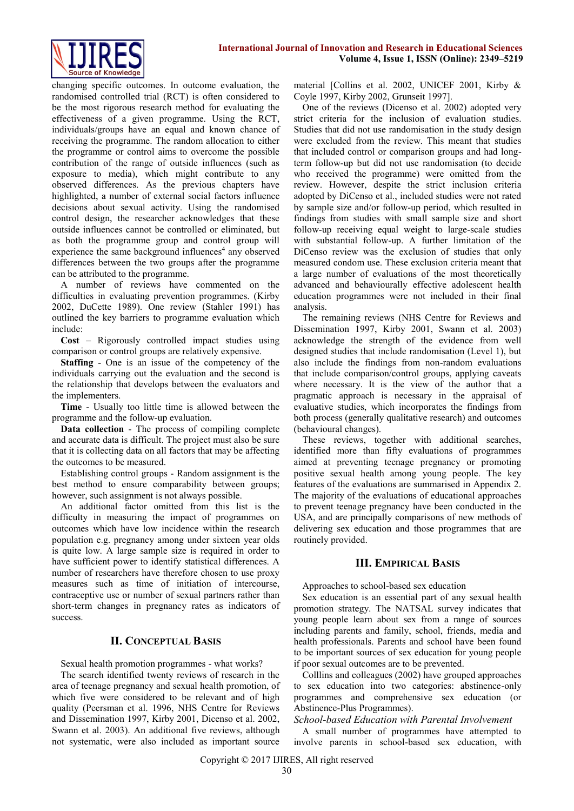

changing specific outcomes. In outcome evaluation, the randomised controlled trial (RCT) is often considered to be the most rigorous research method for evaluating the effectiveness of a given programme. Using the RCT, individuals/groups have an equal and known chance of receiving the programme. The random allocation to either the programme or control aims to overcome the possible contribution of the range of outside influences (such as exposure to media), which might contribute to any observed differences. As the previous chapters have highlighted, a number of external social factors influence decisions about sexual activity. Using the randomised control design, the researcher acknowledges that these outside influences cannot be controlled or eliminated, but as both the programme group and control group will experience the same background influences<sup>4</sup> any observed differences between the two groups after the programme can be attributed to the programme.

A number of reviews have commented on the difficulties in evaluating prevention programmes. (Kirby 2002, DuCette 1989). One review (Stahler 1991) has outlined the key barriers to programme evaluation which include:

**Cost** – Rigorously controlled impact studies using comparison or control groups are relatively expensive.

**Staffing** - One is an issue of the competency of the individuals carrying out the evaluation and the second is the relationship that develops between the evaluators and the implementers.

**Time** - Usually too little time is allowed between the programme and the follow-up evaluation.

**Data collection** - The process of compiling complete and accurate data is difficult. The project must also be sure that it is collecting data on all factors that may be affecting the outcomes to be measured.

Establishing control groups - Random assignment is the best method to ensure comparability between groups; however, such assignment is not always possible.

An additional factor omitted from this list is the difficulty in measuring the impact of programmes on outcomes which have low incidence within the research population e.g. pregnancy among under sixteen year olds is quite low. A large sample size is required in order to have sufficient power to identify statistical differences. A number of researchers have therefore chosen to use proxy measures such as time of initiation of intercourse, contraceptive use or number of sexual partners rather than short-term changes in pregnancy rates as indicators of success.

## **II. CONCEPTUAL BASIS**

Sexual health promotion programmes - what works?

The search identified twenty reviews of research in the area of teenage pregnancy and sexual health promotion, of which five were considered to be relevant and of high quality (Peersman et al. 1996, NHS Centre for Reviews and Dissemination 1997, Kirby 2001, Dicenso et al. 2002, Swann et al. 2003). An additional five reviews, although not systematic, were also included as important source material [Collins et al. 2002, UNICEF 2001, Kirby & Coyle 1997, Kirby 2002, Grunseit 1997].

One of the reviews (Dicenso et al. 2002) adopted very strict criteria for the inclusion of evaluation studies. Studies that did not use randomisation in the study design were excluded from the review. This meant that studies that included control or comparison groups and had longterm follow-up but did not use randomisation (to decide who received the programme) were omitted from the review. However, despite the strict inclusion criteria adopted by DiCenso et al., included studies were not rated by sample size and/or follow-up period, which resulted in findings from studies with small sample size and short follow-up receiving equal weight to large-scale studies with substantial follow-up. A further limitation of the DiCenso review was the exclusion of studies that only measured condom use. These exclusion criteria meant that a large number of evaluations of the most theoretically advanced and behaviourally effective adolescent health education programmes were not included in their final analysis.

The remaining reviews (NHS Centre for Reviews and Dissemination 1997, Kirby 2001, Swann et al. 2003) acknowledge the strength of the evidence from well designed studies that include randomisation (Level 1), but also include the findings from non-random evaluations that include comparison/control groups, applying caveats where necessary. It is the view of the author that a pragmatic approach is necessary in the appraisal of evaluative studies, which incorporates the findings from both process (generally qualitative research) and outcomes (behavioural changes).

These reviews, together with additional searches, identified more than fifty evaluations of programmes aimed at preventing teenage pregnancy or promoting positive sexual health among young people. The key features of the evaluations are summarised in Appendix 2. The majority of the evaluations of educational approaches to prevent teenage pregnancy have been conducted in the USA, and are principally comparisons of new methods of delivering sex education and those programmes that are routinely provided.

## **III. EMPIRICAL BASIS**

Approaches to school-based sex education

Sex education is an essential part of any sexual health promotion strategy. The NATSAL survey indicates that young people learn about sex from a range of sources including parents and family, school, friends, media and health professionals. Parents and school have been found to be important sources of sex education for young people if poor sexual outcomes are to be prevented.

Colllins and colleagues (2002) have grouped approaches to sex education into two categories: abstinence-only programmes and comprehensive sex education (or Abstinence-Plus Programmes).

#### *School-based Education with Parental Involvement*

A small number of programmes have attempted to involve parents in school-based sex education, with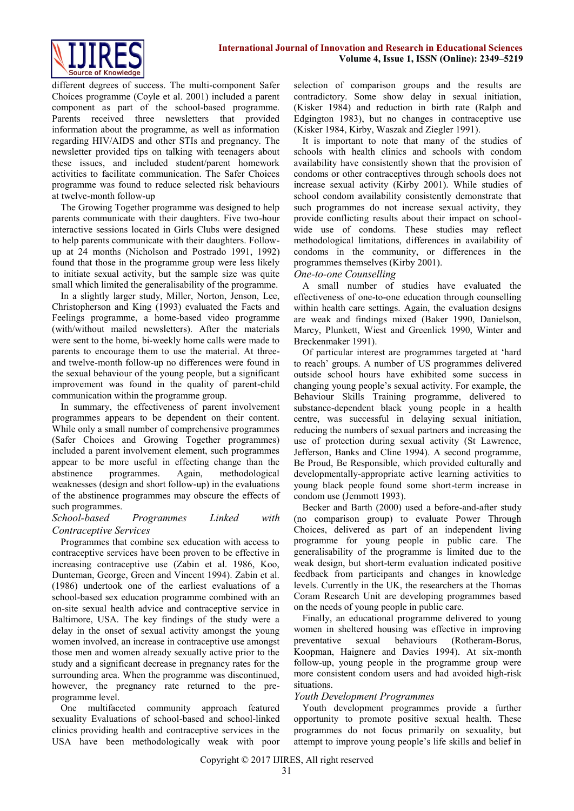

different degrees of success. The multi-component Safer Choices programme (Coyle et al. 2001) included a parent component as part of the school-based programme. Parents received three newsletters that provided information about the programme, as well as information regarding HIV/AIDS and other STIs and pregnancy. The newsletter provided tips on talking with teenagers about these issues, and included student/parent homework activities to facilitate communication. The Safer Choices programme was found to reduce selected risk behaviours at twelve-month follow-up

The Growing Together programme was designed to help parents communicate with their daughters. Five two-hour interactive sessions located in Girls Clubs were designed to help parents communicate with their daughters. Followup at 24 months (Nicholson and Postrado 1991, 1992) found that those in the programme group were less likely to initiate sexual activity, but the sample size was quite small which limited the generalisability of the programme.

In a slightly larger study, Miller, Norton, Jenson, Lee, Christopherson and King (1993) evaluated the Facts and Feelings programme, a home-based video programme (with/without mailed newsletters). After the materials were sent to the home, bi-weekly home calls were made to parents to encourage them to use the material. At threeand twelve-month follow-up no differences were found in the sexual behaviour of the young people, but a significant improvement was found in the quality of parent-child communication within the programme group.

In summary, the effectiveness of parent involvement programmes appears to be dependent on their content. While only a small number of comprehensive programmes (Safer Choices and Growing Together programmes) included a parent involvement element, such programmes appear to be more useful in effecting change than the abstinence programmes. Again, methodological weaknesses (design and short follow-up) in the evaluations of the abstinence programmes may obscure the effects of such programmes.

## *School-based Programmes Linked with Contraceptive Services*

Programmes that combine sex education with access to contraceptive services have been proven to be effective in increasing contraceptive use (Zabin et al. 1986, Koo, Dunteman, George, Green and Vincent 1994). Zabin et al. (1986) undertook one of the earliest evaluations of a school-based sex education programme combined with an on-site sexual health advice and contraceptive service in Baltimore, USA. The key findings of the study were a delay in the onset of sexual activity amongst the young women involved, an increase in contraceptive use amongst those men and women already sexually active prior to the study and a significant decrease in pregnancy rates for the surrounding area. When the programme was discontinued, however, the pregnancy rate returned to the preprogramme level.

One multifaceted community approach featured sexuality Evaluations of school-based and school-linked clinics providing health and contraceptive services in the USA have been methodologically weak with poor selection of comparison groups and the results are contradictory. Some show delay in sexual initiation, (Kisker 1984) and reduction in birth rate (Ralph and Edgington 1983), but no changes in contraceptive use (Kisker 1984, Kirby, Waszak and Ziegler 1991).

It is important to note that many of the studies of schools with health clinics and schools with condom availability have consistently shown that the provision of condoms or other contraceptives through schools does not increase sexual activity (Kirby 2001). While studies of school condom availability consistently demonstrate that such programmes do not increase sexual activity, they provide conflicting results about their impact on schoolwide use of condoms. These studies may reflect methodological limitations, differences in availability of condoms in the community, or differences in the programmes themselves (Kirby 2001).

## *One-to-one Counselling*

A small number of studies have evaluated the effectiveness of one-to-one education through counselling within health care settings. Again, the evaluation designs are weak and findings mixed (Baker 1990, Danielson, Marcy, Plunkett, Wiest and Greenlick 1990, Winter and Breckenmaker 1991).

Of particular interest are programmes targeted at 'hard to reach' groups. A number of US programmes delivered outside school hours have exhibited some success in changing young people's sexual activity. For example, the Behaviour Skills Training programme, delivered to substance-dependent black young people in a health centre, was successful in delaying sexual initiation, reducing the numbers of sexual partners and increasing the use of protection during sexual activity (St Lawrence, Jefferson, Banks and Cline 1994). A second programme, Be Proud, Be Responsible, which provided culturally and developmentally-appropriate active learning activities to young black people found some short-term increase in condom use (Jemmott 1993).

Becker and Barth (2000) used a before-and-after study (no comparison group) to evaluate Power Through Choices, delivered as part of an independent living programme for young people in public care. The generalisability of the programme is limited due to the weak design, but short-term evaluation indicated positive feedback from participants and changes in knowledge levels. Currently in the UK, the researchers at the Thomas Coram Research Unit are developing programmes based on the needs of young people in public care.

Finally, an educational programme delivered to young women in sheltered housing was effective in improving preventative sexual behaviours (Rotheram-Borus, Koopman, Haignere and Davies 1994). At six-month follow-up, young people in the programme group were more consistent condom users and had avoided high-risk situations.

## *Youth Development Programmes*

Youth development programmes provide a further opportunity to promote positive sexual health. These programmes do not focus primarily on sexuality, but attempt to improve young people's life skills and belief in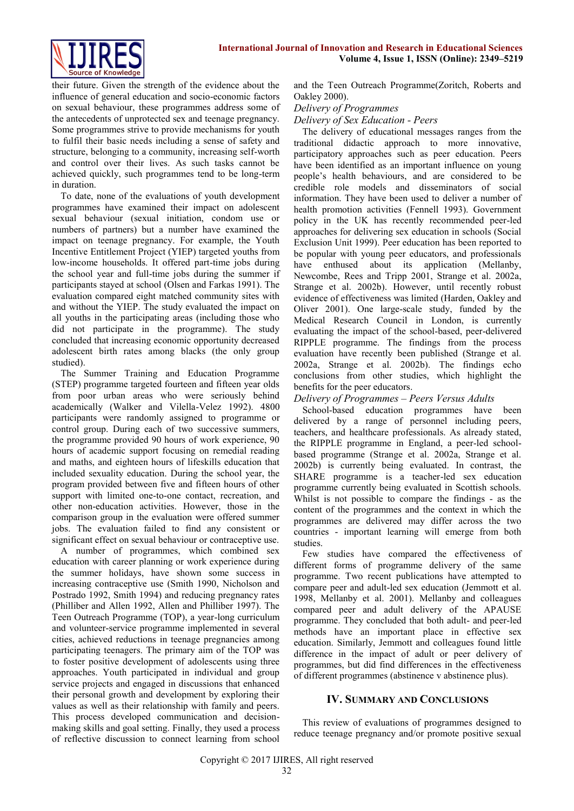

their future. Given the strength of the evidence about the influence of general education and socio-economic factors on sexual behaviour, these programmes address some of the antecedents of unprotected sex and teenage pregnancy. Some programmes strive to provide mechanisms for youth to fulfil their basic needs including a sense of safety and structure, belonging to a community, increasing self-worth and control over their lives. As such tasks cannot be achieved quickly, such programmes tend to be long-term in duration.

To date, none of the evaluations of youth development programmes have examined their impact on adolescent sexual behaviour (sexual initiation, condom use or numbers of partners) but a number have examined the impact on teenage pregnancy. For example, the Youth Incentive Entitlement Project (YIEP) targeted youths from low-income households. It offered part-time jobs during the school year and full-time jobs during the summer if participants stayed at school (Olsen and Farkas 1991). The evaluation compared eight matched community sites with and without the YIEP. The study evaluated the impact on all youths in the participating areas (including those who did not participate in the programme). The study concluded that increasing economic opportunity decreased adolescent birth rates among blacks (the only group studied).

The Summer Training and Education Programme (STEP) programme targeted fourteen and fifteen year olds from poor urban areas who were seriously behind academically (Walker and Vilella-Velez 1992). 4800 participants were randomly assigned to programme or control group. During each of two successive summers, the programme provided 90 hours of work experience, 90 hours of academic support focusing on remedial reading and maths, and eighteen hours of lifeskills education that included sexuality education. During the school year, the program provided between five and fifteen hours of other support with limited one-to-one contact, recreation, and other non-education activities. However, those in the comparison group in the evaluation were offered summer jobs. The evaluation failed to find any consistent or significant effect on sexual behaviour or contraceptive use.

A number of programmes, which combined sex education with career planning or work experience during the summer holidays, have shown some success in increasing contraceptive use (Smith 1990, Nicholson and Postrado 1992, Smith 1994) and reducing pregnancy rates (Philliber and Allen 1992, Allen and Philliber 1997). The Teen Outreach Programme (TOP), a year-long curriculum and volunteer-service programme implemented in several cities, achieved reductions in teenage pregnancies among participating teenagers. The primary aim of the TOP was to foster positive development of adolescents using three approaches. Youth participated in individual and group service projects and engaged in discussions that enhanced their personal growth and development by exploring their values as well as their relationship with family and peers. This process developed communication and decisionmaking skills and goal setting. Finally, they used a process of reflective discussion to connect learning from school and the Teen Outreach Programme(Zoritch, Roberts and Oakley 2000).

## *Delivery of Programmes*

*Delivery of Sex Education - Peers*

The delivery of educational messages ranges from the traditional didactic approach to more innovative, participatory approaches such as peer education. Peers have been identified as an important influence on young people's health behaviours, and are considered to be credible role models and disseminators of social information. They have been used to deliver a number of health promotion activities (Fennell 1993). Government policy in the UK has recently recommended peer-led approaches for delivering sex education in schools (Social Exclusion Unit 1999). Peer education has been reported to be popular with young peer educators, and professionals have enthused about its application (Mellanby, Newcombe, Rees and Tripp 2001, Strange et al. 2002a, Strange et al. 2002b). However, until recently robust evidence of effectiveness was limited (Harden, Oakley and Oliver 2001). One large-scale study, funded by the Medical Research Council in London, is currently evaluating the impact of the school-based, peer-delivered RIPPLE programme. The findings from the process evaluation have recently been published (Strange et al. 2002a, Strange et al. 2002b). The findings echo conclusions from other studies, which highlight the benefits for the peer educators.

#### *Delivery of Programmes – Peers Versus Adults*

School-based education programmes have been delivered by a range of personnel including peers, teachers, and healthcare professionals. As already stated, the RIPPLE programme in England, a peer-led schoolbased programme (Strange et al. 2002a, Strange et al. 2002b) is currently being evaluated. In contrast, the SHARE programme is a teacher-led sex education programme currently being evaluated in Scottish schools. Whilst is not possible to compare the findings - as the content of the programmes and the context in which the programmes are delivered may differ across the two countries - important learning will emerge from both studies.

Few studies have compared the effectiveness of different forms of programme delivery of the same programme. Two recent publications have attempted to compare peer and adult-led sex education (Jemmott et al. 1998, Mellanby et al. 2001). Mellanby and colleagues compared peer and adult delivery of the APAUSE programme. They concluded that both adult- and peer-led methods have an important place in effective sex education. Similarly, Jemmott and colleagues found little difference in the impact of adult or peer delivery of programmes, but did find differences in the effectiveness of different programmes (abstinence v abstinence plus).

## **IV. SUMMARY AND CONCLUSIONS**

This review of evaluations of programmes designed to reduce teenage pregnancy and/or promote positive sexual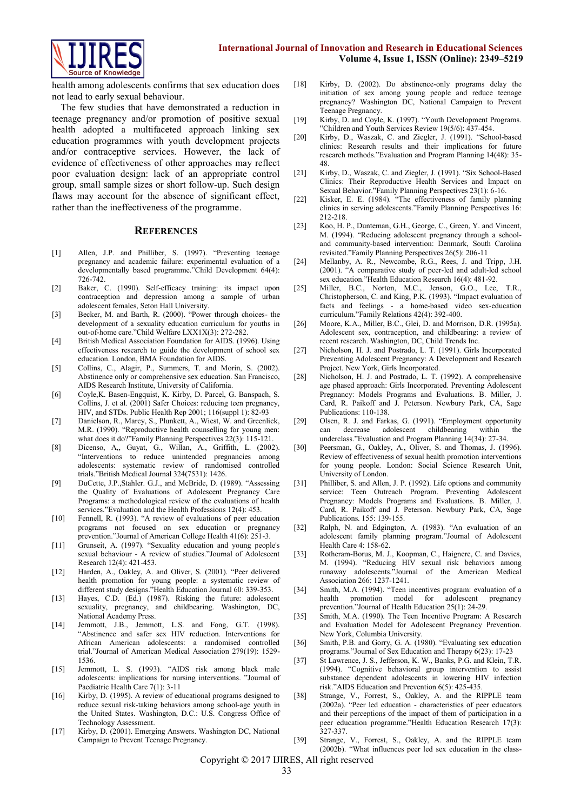

health among adolescents confirms that sex education does not lead to early sexual behaviour.

The few studies that have demonstrated a reduction in teenage pregnancy and/or promotion of positive sexual health adopted a multifaceted approach linking sex education programmes with youth development projects and/or contraceptive services. However, the lack of evidence of effectiveness of other approaches may reflect poor evaluation design: lack of an appropriate control group, small sample sizes or short follow-up. Such design flaws may account for the absence of significant effect, rather than the ineffectiveness of the programme.

#### **REFERENCES**

- [1] Allen, J.P. and Philliber, S. (1997). "Preventing teenage pregnancy and academic failure: experimental evaluation of a developmentally based programme."Child Development 64(4): 726-742.
- [2] Baker, C. (1990). Self-efficacy training: its impact upon contraception and depression among a sample of urban adolescent females, Seton Hall University.
- [3] Becker, M. and Barth, R. (2000). "Power through choices- the development of a sexuality education curriculum for youths in out-of-home care."Child Welfare LXX1X(3): 272-282.
- [4] British Medical Association Foundation for AIDS. (1996). Using effectiveness research to guide the development of school sex education. London, BMA Foundation for AIDS.
- [5] Collins, C., Alagir, P., Summers, T. and Morin, S. (2002). Abstinence only or comprehensive sex education. San Francisco, AIDS Research Institute, University of California.
- [6] Coyle,K. Basen-Engquist, K. Kirby, D. Parcel, G. Banspach, S. Collins, J. et al. (2001) Safer Choices: reducing teen pregnancy, HIV, and STDs. Public Health Rep 2001; 116(suppl 1): 82-93
- [7] Danielson, R., Marcy, S., Plunkett, A., Wiest, W. and Greenlick, M.R. (1990). "Reproductive health counselling for young men: what does it do?"Family Planning Perspectives 22(3): 115-121.
- [8] Dicenso, A,, Guyat, G., Willan, A., Griffith, L. (2002). "Interventions to reduce unintended pregnancies among adolescents: systematic review of randomised controlled trials."British Medical Journal 324(7531): 1426.
- [9] DuCette, J.P.,Stahler. G.J., and McBride, D. (1989). "Assessing the Quality of Evaluations of Adolescent Pregnancy Care Programs: a methodological review of the evaluations of health services."Evaluation and the Health Professions 12(4): 453.
- [10] Fennell, R. (1993). "A review of evaluations of peer education programs not focused on sex education or pregnancy prevention."Journal of American College Health 41(6): 251-3.
- [11] Grunseit, A. (1997). "Sexuality education and young people's sexual behaviour - A review of studies."Journal of Adolescent Research 12(4): 421-453.
- [12] Harden, A., Oakley, A. and Oliver, S. (2001). "Peer delivered health promotion for young people: a systematic review of different study designs."Health Education Journal 60: 339-353.
- [13] Hayes, C.D. (Ed.) (1987). Risking the future: adolescent sexuality, pregnancy, and childbearing. Washington, DC, National Academy Press.
- [14] Jemmott, J.B., Jemmott, L.S. and Fong, G.T. (1998). "Abstinence and safer sex HIV reduction. Interventions for African American adolescents: a randomised controlled trial."Journal of American Medical Association 279(19): 1529- 1536.
- [15] Jemmott, L. S. (1993). "AIDS risk among black male adolescents: implications for nursing interventions. "Journal of Paediatric Health Care 7(1): 3-11
- [16] Kirby, D. (1995). A review of educational programs designed to reduce sexual risk-taking behaviors among school-age youth in the United States. Washington, D.C.: U.S. Congress Office of Technology Assessment.
- [17] Kirby, D. (2001). Emerging Answers. Washington DC, National Campaign to Prevent Teenage Pregnancy.
- [18] Kirby, D. (2002). Do abstinence-only programs delay the initiation of sex among young people and reduce teenage pregnancy? Washington DC, National Campaign to Prevent Teenage Pregnancy.
- [19] Kirby, D. and Coyle, K. (1997). "Youth Development Programs. "Children and Youth Services Review 19(5/6): 437-454.
- [20] Kirby, D., Waszak, C. and Ziegler, J. (1991). "School-based clinics: Research results and their implications for future research methods."Evaluation and Program Planning 14(48): 35- 48.
- [21] Kirby, D., Waszak, C. and Ziegler, J. (1991). "Six School-Based Clinics: Their Reproductive Health Services and Impact on Sexual Behavior."Family Planning Perspectives 23(1): 6-16.
- [22] Kisker, E. E. (1984). "The effectiveness of family planning clinics in serving adolescents."Family Planning Perspectives 16: 212-218.
- [23] Koo, H. P., Dunteman, G.H., George, C., Green, Y. and Vincent, M. (1994). "Reducing adolescent pregnancy through a schooland community-based intervention: Denmark, South Carolina revisited."Family Planning Perspectives 26(5): 206-11
- [24] Mellanby, A. R., Newcombe, R.G., Rees, J. and Tripp, J.H. (2001). "A comparative study of peer-led and adult-led school sex education."Health Education Research 16(4): 481-92.
- [25] Miller, B.C., Norton, M.C., Jenson, G.O., Lee, T.R., Christopherson, C. and King, P.K. (1993). "Impact evaluation of facts and feelings - a home-based video sex-education curriculum."Family Relations 42(4): 392-400.
- [26] Moore, K.A., Miller, B.C., Glei, D. and Morrison, D.R. (1995a). Adolescent sex, contraception, and childbearing: a review of recent research. Washington, DC, Child Trends Inc.
- [27] Nicholson, H. J. and Postrado, L. T. (1991). Girls Incorporated Preventing Adolescent Pregnancy: A Development and Research Project. New York, Girls Incorporated.
- [28] Nicholson, H. J. and Postrado, L. T. (1992). A comprehensive age phased approach: Girls Incorporated. Preventing Adolescent Pregnancy: Models Programs and Evaluations. B. Miller, J. Card, R. Paikoff and J. Peterson. Newbury Park, CA, Sage Publications: 110-138.
- [29] Olsen, R. J. and Farkas, G. (1991). "Employment opportunity can decrease adolescent childbearing within the underclass."Evaluation and Program Planning 14(34): 27-34.
- [30] Peersman, G., Oakley, A., Oliver, S. and Thomas, J. (1996). Review of effectiveness of sexual health promotion interventions for young people. London: Social Science Research Unit, University of London.
- [31] Philliber, S. and Allen, J. P. (1992). Life options and community service: Teen Outreach Program. Preventing Adolescent Pregnancy: Models Programs and Evaluations. B. Miller, J. Card, R. Paikoff and J. Peterson. Newbury Park, CA, Sage Publications. 155: 139-155.
- [32] Ralph, N. and Edgington, A. (1983). "An evaluation of an adolescent family planning program."Journal of Adolescent Health Care 4: 158-62.
- [33] Rotheram-Borus, M. J., Koopman, C., Haignere, C. and Davies, M. (1994). "Reducing HIV sexual risk behaviors among runaway adolescents."Journal of the American Medical Association 266: 1237-1241.
- [34] Smith, M.A. (1994). "Teen incentives program: evaluation of a health promotion model for adolescent pregnancy prevention."Journal of Health Education 25(1): 24-29.
- [35] Smith, M.A. (1990). The Teen Incentive Program: A Research and Evaluation Model for Adolescent Pregnancy Prevention. New York, Columbia University.
- [36] Smith, P.B. and Gorry, G. A. (1980). "Evaluating sex education programs."Journal of Sex Education and Therapy 6(23): 17-23
- [37] St Lawrence, J. S., Jefferson, K. W., Banks, P.G. and Klein, T.R. (1994). "Cognitive behavioral group intervention to assist substance dependent adolescents in lowering HIV infection risk."AIDS Education and Prevention 6(5): 425-435.
- [38] Strange, V., Forrest, S., Oakley, A. and the RIPPLE team (2002a). "Peer led education - characteristics of peer educators and their perceptions of the impact of them of participation in a peer education programme."Health Education Research 17(3): 327-337.
- [39] Strange, V., Forrest, S., Oakley, A. and the RIPPLE team (2002b). "What influences peer led sex education in the class-

Copyright © 2017 IJIRES, All right reserved